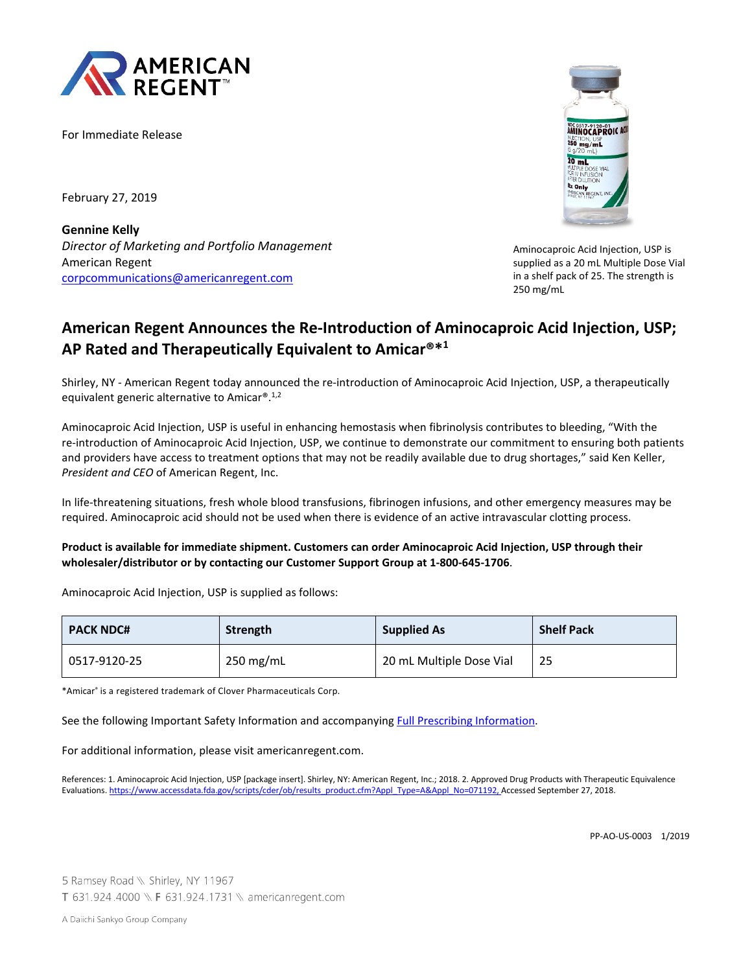

For Immediate Release

February 27, 2019

**Gennine Kelly** *Director of Marketing and Portfolio Management* American Regent [corpcommunications@americanregent.com](mailto:corpcommunications@americanregent.com)



Aminocaproic Acid Injection, USP is supplied as a 20 mL Multiple Dose Vial in a shelf pack of 25. The strength is 250 mg/mL

# **American Regent Announces the Re-Introduction of Aminocaproic Acid Injection, USP; AP Rated and Therapeutically Equivalent to Amicar®\*1**

Shirley, NY - American Regent today announced the re-introduction of Aminocaproic Acid Injection, USP, a therapeutically equivalent generic alternative to Amicar®.1,2

Aminocaproic Acid Injection, USP is useful in enhancing hemostasis when fibrinolysis contributes to bleeding, "With the re-introduction of Aminocaproic Acid Injection, USP, we continue to demonstrate our commitment to ensuring both patients and providers have access to treatment options that may not be readily available due to drug shortages," said Ken Keller, *President and CEO* of American Regent, Inc.

In life-threatening situations, fresh whole blood transfusions, fibrinogen infusions, and other emergency measures may be required. Aminocaproic acid should not be used when there is evidence of an active intravascular clotting process.

#### **Product is available for immediate shipment. Customers can order Aminocaproic Acid Injection, USP through their wholesaler/distributor or by contacting our Customer Support Group at 1-800-645-1706**.

Aminocaproic Acid Injection, USP is supplied as follows:

| <b>PACK NDC#</b> | Strength    | <b>Supplied As</b>       | <b>Shelf Pack</b> |
|------------------|-------------|--------------------------|-------------------|
| 0517-9120-25     | $250$ mg/mL | 20 mL Multiple Dose Vial | 25                |

\*Amicar® is a registered trademark of Clover Pharmaceuticals Corp.

See the following Important Safety Information and accompanying [Full Prescribing Information.](https://dev-american-regent.s1.umbraco.io/media/2188/aminocaproic-acid-prescribing-information.pdf)

For additional information, please visit americanregent.com.

References: 1. Aminocaproic Acid Injection, USP [package insert]. Shirley, NY: American Regent, Inc.; 2018. 2. Approved Drug Products with Therapeutic Equivalence Evaluations[. https://www.accessdata.fda.gov/scripts/cder/ob/results\\_product.cfm?Appl\\_Type=A&Appl\\_No=071192,](https://www.accessdata.fda.gov/scripts/cder/ob/results_product.cfm?Appl_Type=A&Appl_No=071192) Accessed September 27, 2018.

5 Ramsey Road \\ Shirley, NY 11967 T 631.924.4000 \\ F 631.924.1731 \\ americanregent.com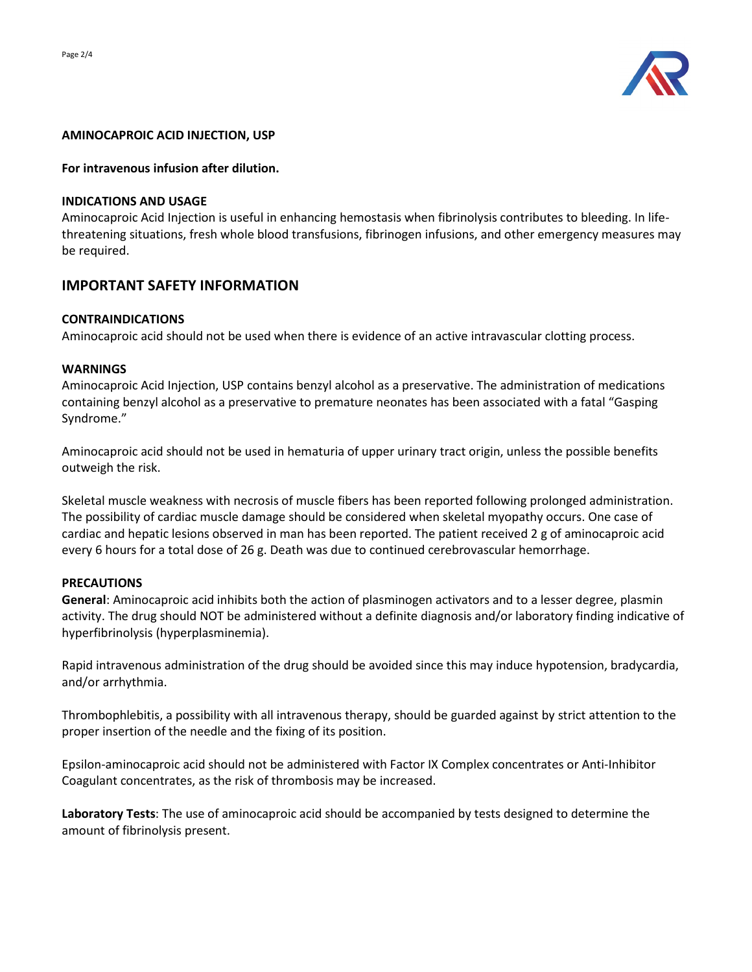

#### **AMINOCAPROIC ACID INJECTION, USP**

#### **For intravenous infusion after dilution.**

#### **INDICATIONS AND USAGE**

Aminocaproic Acid Injection is useful in enhancing hemostasis when fibrinolysis contributes to bleeding. In lifethreatening situations, fresh whole blood transfusions, fibrinogen infusions, and other emergency measures may be required.

# **IMPORTANT SAFETY INFORMATION**

#### **CONTRAINDICATIONS**

Aminocaproic acid should not be used when there is evidence of an active intravascular clotting process.

#### **WARNINGS**

Aminocaproic Acid Injection, USP contains benzyl alcohol as a preservative. The administration of medications containing benzyl alcohol as a preservative to premature neonates has been associated with a fatal "Gasping Syndrome."

Aminocaproic acid should not be used in hematuria of upper urinary tract origin, unless the possible benefits outweigh the risk.

Skeletal muscle weakness with necrosis of muscle fibers has been reported following prolonged administration. The possibility of cardiac muscle damage should be considered when skeletal myopathy occurs. One case of cardiac and hepatic lesions observed in man has been reported. The patient received 2 g of aminocaproic acid every 6 hours for a total dose of 26 g. Death was due to continued cerebrovascular hemorrhage.

## **PRECAUTIONS**

**General**: Aminocaproic acid inhibits both the action of plasminogen activators and to a lesser degree, plasmin activity. The drug should NOT be administered without a definite diagnosis and/or laboratory finding indicative of hyperfibrinolysis (hyperplasminemia).

Rapid intravenous administration of the drug should be avoided since this may induce hypotension, bradycardia, and/or arrhythmia.

Thrombophlebitis, a possibility with all intravenous therapy, should be guarded against by strict attention to the proper insertion of the needle and the fixing of its position.

Epsilon-aminocaproic acid should not be administered with Factor IX Complex concentrates or Anti-Inhibitor Coagulant concentrates, as the risk of thrombosis may be increased.

**Laboratory Tests**: The use of aminocaproic acid should be accompanied by tests designed to determine the amount of fibrinolysis present.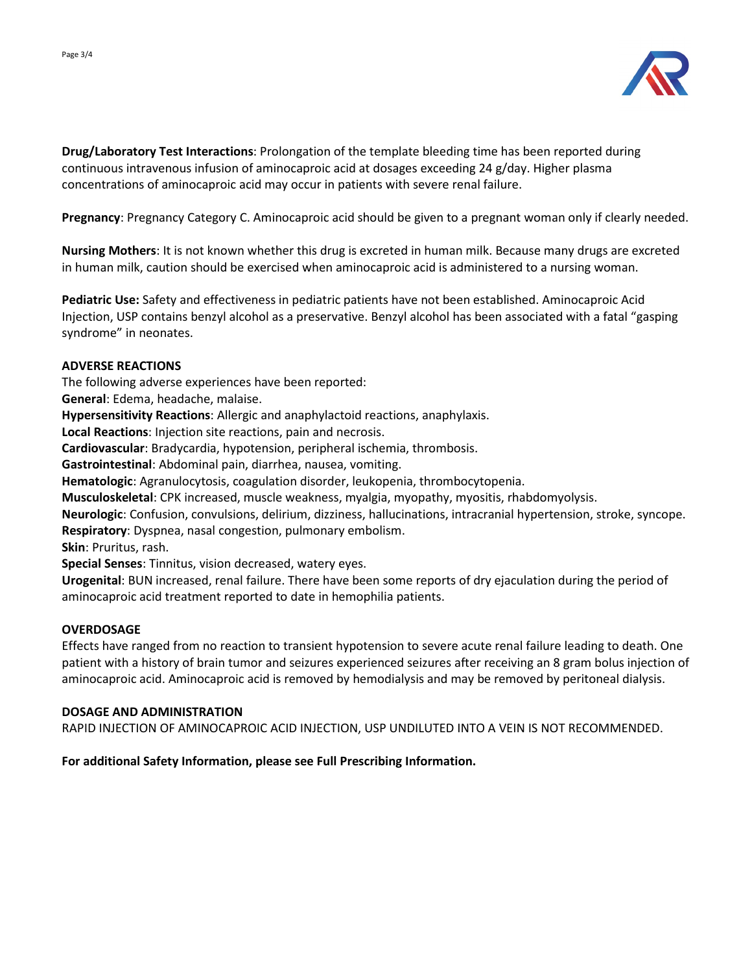



**Drug/Laboratory Test Interactions**: Prolongation of the template bleeding time has been reported during continuous intravenous infusion of aminocaproic acid at dosages exceeding 24 g/day. Higher plasma concentrations of aminocaproic acid may occur in patients with severe renal failure.

**Pregnancy**: Pregnancy Category C. Aminocaproic acid should be given to a pregnant woman only if clearly needed.

**Nursing Mothers**: It is not known whether this drug is excreted in human milk. Because many drugs are excreted in human milk, caution should be exercised when aminocaproic acid is administered to a nursing woman.

**Pediatric Use:** Safety and effectiveness in pediatric patients have not been established. Aminocaproic Acid Injection, USP contains benzyl alcohol as a preservative. Benzyl alcohol has been associated with a fatal "gasping syndrome" in neonates.

# **ADVERSE REACTIONS**

The following adverse experiences have been reported:

**General**: Edema, headache, malaise.

**Hypersensitivity Reactions**: Allergic and anaphylactoid reactions, anaphylaxis.

**Local Reactions**: Injection site reactions, pain and necrosis.

**Cardiovascular**: Bradycardia, hypotension, peripheral ischemia, thrombosis.

**Gastrointestinal**: Abdominal pain, diarrhea, nausea, vomiting.

**Hematologic**: Agranulocytosis, coagulation disorder, leukopenia, thrombocytopenia.

**Musculoskeletal**: CPK increased, muscle weakness, myalgia, myopathy, myositis, rhabdomyolysis.

**Neurologic**: Confusion, convulsions, delirium, dizziness, hallucinations, intracranial hypertension, stroke, syncope. **Respiratory**: Dyspnea, nasal congestion, pulmonary embolism.

**Skin**: Pruritus, rash.

**Special Senses**: Tinnitus, vision decreased, watery eyes.

**Urogenital**: BUN increased, renal failure. There have been some reports of dry ejaculation during the period of aminocaproic acid treatment reported to date in hemophilia patients.

## **OVERDOSAGE**

Effects have ranged from no reaction to transient hypotension to severe acute renal failure leading to death. One patient with a history of brain tumor and seizures experienced seizures after receiving an 8 gram bolus injection of aminocaproic acid. Aminocaproic acid is removed by hemodialysis and may be removed by peritoneal dialysis.

## **DOSAGE AND ADMINISTRATION**

RAPID INJECTION OF AMINOCAPROIC ACID INJECTION, USP UNDILUTED INTO A VEIN IS NOT RECOMMENDED.

## **For additional Safety Information, please see Full Prescribing Information.**